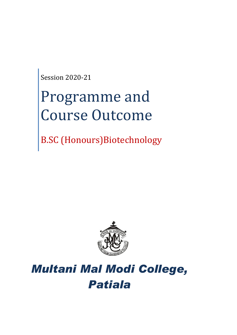Session 2020-21

# Programme and Course Outcome

B.SC (Honours)Biotechnology



## *Multani Mal Modi College, Patiala*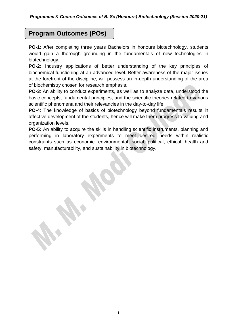## **Program Outcomes (POs)**

**PO-1**: After completing three years Bachelors in honours biotechnology, students would gain a thorough grounding in the fundamentals of new technologies in biotechnology.

**PO-2:** Industry applications of better understanding of the key principles of biochemical functioning at an advanced level. Better awareness of the major issues at the forefront of the discipline, will possess an in-depth understanding of the area of biochemistry chosen for research emphasis.

**PO-3**: An ability to conduct experiments, as well as to analyze data, understood the basic concepts, fundamental principles, and the scientific theories related to various scientific phenomena and their relevancies in the day-to-day life.

**PO-4**: The knowledge of basics of biotechnology beyond fundamentals results in affective development of the students, hence will make them progress to valuing and organization levels.

**PO-5:** An ability to acquire the skills in handling scientific instruments, planning and performing in laboratory experiments to meet desired needs within realistic constraints such as economic, environmental, social, political, ethical, health and safety, manufacturability, and sustainability in biotechnology.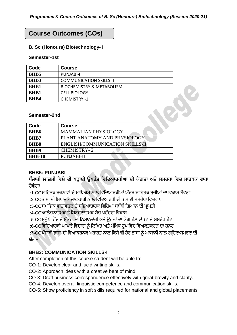## **Course Outcomes (COs)**

#### **B. Sc (Honours) Biotechnology- I**

#### **Semester-1st**

| Code        | <b>Course</b>                        |  |
|-------------|--------------------------------------|--|
| <b>BHB5</b> | PUNJABI-I                            |  |
| <b>BHB3</b> | <b>COMMUNICATION SKILLS -I</b>       |  |
| <b>BHB1</b> | <b>BIOCHEMISTRY &amp; METABOLISM</b> |  |
| <b>BHB1</b> | <b>CELL BIOLOGY</b>                  |  |
| <b>RHR4</b> | <b>CHEMISTRY -1</b>                  |  |

#### **Semester-2nd**

| Code          | <b>Course</b>                          |  |
|---------------|----------------------------------------|--|
| <b>BHB6</b>   | <b>MAMMALIAN PHYSIOLOGY</b>            |  |
| <b>BHB7</b>   | PLANT ANATOMY AND PHYSIOLOGY           |  |
| <b>BHB8</b>   | <b>ENGLISH/COMMUNICATION SKILLS-II</b> |  |
| <b>BHB9</b>   | <b>CHEMISTRY-2</b>                     |  |
| <b>BHB-10</b> | <b>PUNJABI-II</b>                      |  |

#### **BHB5: PUNJABI**

## **ਪੰਜਾਬੀ ਲਾਜ਼ਮੀ ਵਿਸ਼ੇਦੀ ਪੜ੍ਹਾਈ ਉਪਰੰਤ ਵਿਵਦਆਰਥੀਆਂ ਦੀ ਯੋਗਤਾ ਅਤੇਸਮਰਥਾ ਵਿਚ ਸਾਰਥਕ ਿਾਧਾ ਹੋਿੇਗਾ**

:1-COਸਾਹਿਤਕ ਰਚਨਾਵਾਂ ਦੇ ਮਾਧਿਅਮ ਨਾਲ ਵਿਦਿਆਰਥੀਆਂ ਅੰਦਰ ਸਾਹਿਤਕ ਰਚੀਆਂ ਦਾ ਵਿਕਾਸ ਹੋਵੇਗਾ

:2-COਭਾਸ਼ਾ ਦੀ ਸਿਧਾਂਤਕ ਜਾਣਕਾਰੀ ਨਾਲ ਵਿਦਿਆਰਥੀ ਦੀ ਭਾਸ਼ਾਈ ਸਮਰੱਥਾ ਵਿਚਵਾਧਾ

:3-COਸਮਾਜਿਕ ਵਾਤਾਵਰਣ ਤੇ ਸਭਿਆਚਾਰਕ ਵਿਸ਼ਿਆਂ ਸਬੰਧੀ ਗਿਆਨ ਦੀ ਪ੍ਰਾਪਤੀ

:4-COਆਲੋਚਨਾਤਮਕ ਤੇ ਸਿਰਜਣਾਤਮਕ ਸੋਚ ਪਹੰਚਦਾ ਵਿਕਾਸ

:5-COਮਨੱਖੀ ਹੋਂਦ ਦੇ ਸੰਕਟਾਂ ਦੀ ਨਿਸ਼ਾਨਦੇਹੀ ਅਤੇ ਉਹਨਾਂ ਦਾ ਯੋਗ ਹੱਲ ਲੱਭਣ ਦੇ ਸਮਰੱਥ ਹੋਣਾ

:6-COਵਿਦਿਆਰਥੀ ਆਪਣੇ ਵਿਚਾਰਾਂ ਨੂੰ ਲਿਖਿਤ ਅਤੇ ਮੌਖਿਕ ਰੂਪ ਵਿਚ ਵਿਅਕਤਕਰਨ ਦਾ ਹਨਰ

:7-OCਪ੍ੰਜਾਬੀ ਭਾਸ਼ਾ ਦੀ ਹਵਆਕਰਨਕ ਮੁਿਾਰਤ ਨਾਲ ਹਕਸੇਵੀ ਿੋਰ ਭਾਸ਼ਾ ਨ ੰ ਆਸਾਨੀ ਨਾਲ ਗਰਹਿਣ/ਸਮਝਣ ਦੀ ਯੋਗਤਾ

### **BHB3: COMMUNICATION SKILLS-I**

After completion of this course student will be able to:

CO-1: Develop clear and lucid writing skills.

CO-2: Approach ideas with a creative bent of mind.

CO-3: Draft business correspondence effectively with great brevity and clarity.

CO-4: Develop overall linguistic competence and communication skills.

CO-5: Show proficiency in soft skills required for national and global placements.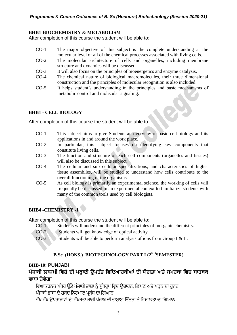#### **BHB1**-**BIOCHEMISTRY & METABOLISM**

After completion of this course the student will be able to:

- CO-1: The major objective of this subject is the complete understanding at the molecular level of all of the chemical processes associated with living cells.
- CO-2: The molecular architecture of cells and organelles, including membrane structure and dynamics will be discussed.
- CO-3: It will also focus on the principles of bioenergetics and enzyme catalysis.
- CO-4: The chemical nature of biological macromolecules, their three dimensional construction and the principles of molecular recognition is also included.
- CO-5: It helps student's understanding in the principles and basic mechanisms of metabolic control and molecular signaling.

#### **BHB1 - CELL BIOLOGY**

After completion of this course the student will be able to:

- CO-1: This subject aims to give Students an overview of basic cell biology and its applications in and around the work place.
- CO-2: In particular, this subject focuses on identifying key components that constitute living cells.
- CO-3: The function and structure of each cell components (organelles and tissues) will also be discussed in this subject.
- CO-4: The cellular and sub cellular specializations, and characteristics of higher tissue assemblies, will be studied to understand how cells contribute to the overall functioning of the organisms.
- CO-5: As cell biology is primarily an experimental science, the working of cells will frequently be discussed in an experimental context to familiarize students with many of the common tools used by cell biologists.

#### **BHB4 -CHEMISTRY -1**

After completion of this course the student will be able to:

- CO-1: Students will understand the different principles of inorganic chemistry.
- CO-2: Students will get knowledge of optical activity.
- CO-3: Students will be able to perform analysis of ions from Group I & II.

#### **B.Sc (HONS.) BIOTECHNOLOGY PART I (2NDSEMESTER)**

#### **BHB-10: PUNJABI**

## **ਪੰਜਾਬੀ ਲਾਜ਼ਮੀ ਵਿਸ਼ੇਦੀ ਪੜ੍ਹਾਈ ਉਪਰੰਤ ਵਿਵਦਆਰਥੀਆਂ ਦੀ ਯੋਗਤਾ ਅਤੇਸਮਰਥਾ ਵਿਚ ਸਾਰਥਕ ਿਾਧਾ ਹੋਿੇਗਾ**

ਵਿਆਕਰਨਕ ਪੱਧਰ ਉੱਤੇ ਪੰਜਾਬੀ ਭਾਸ਼ਾ ਨੂੰ ਸ਼ੁੱਧਰੂਪ ਵਿਚ ਉਚਾਰਨ, ਲਿਖਣ ਅਤੇ ਪੜ੍ਹਨ ਦਾ ਹੁਨਰ ਪੰਜਾਬੀ ਭਾਸ਼ਾ ਦੇ ਸ਼ਬਦ ਨਿਰਮਾਣ ਪਬੰਧ ਦਾ ਗਿਆਨ

ਵੱਖ ਵੱਖ ਉਪਭਾਸ਼ਾਵਾਂ ਦੀ ਵੱਖਰਤਾ ਰਾਹੀਂ ਪੰਜਾਬ ਦੀ ਭਾਸ਼ਾਈ ਭਿੰਨਤਾ ਤੇ ਵਿਸ਼ਾਲਤਾ ਦਾ ਗਿਆਨ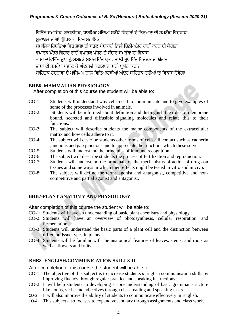ਵਿਭਿੰਨ ਸਮਾਜਿਕ, ਰਾਜਨੀਤਕ, ਧਾਰਮਿਕ ਮੁੱਦਿਆਂ ਸਬੰਧੀ ਵਿਚਾਰਾਂ ਦੇ ਨਿਰਮਾਣ ਦੀ ਸਮਰੱਥਾ ਵਿਚਵਾਧਾ ਮੁਕਾਬਲੇ ਦੀਆਂ ਪੀਖਿਆਵਾਂ ਵਿਚ ਸਹਾਇਕ ਸਮਾਜਿਕ ਰਿਸ਼ਤਿਆਂ ਵਿਚ ਭਾਵਾਂ ਦੀ ਸਰਲ ਪੇਸ਼ਕਾਰੀ ਨਿਜੀ ਚਿੱਠੀ-ਪੱਤਰ ਰਾਹੀਂ ਕਰਨ ਦੀ ਯੋਗਤਾ ਵਪਾਰਕ ਪੱਤਰ ਵਿਹਾਰ ਰਾਹੀਂ ਵਪਾਰਕ ਪੱਧਰ 'ਤੇ ਸੰਚਾਰ ਸਮਰੱਥਾ ਦਾ ਵਿਕਾਸ ਭਾਸ਼ਾ ਦੇ ਵਿਭਿੰਨ ਰਪਾਂ ਨੰ ਸਮਝਕੇ ਸਮਾਜ ਵਿੱਚ ਪ੍ਰਭਾਵਸ਼ਾਲੀ ਰਪ ਵਿੱਚ ਵਿਚਰਨ ਦੀ ਯੋਗਤਾ ਭਾਸ਼ਾ ਦੀ ਸਮਰੱਥਾ ਪਛਾਣ ਕੇ ਅੰਦਰਲੀ ਯੋਗਤਾ ਦਾ ਸਹੀ ਪਯੋਗ ਕਰਨਾ ਸਾਹਿਤਕ ਰਚਨਾਵਾਂ ਦੇ ਮਾਧਿਅਮ ਨਾਲ ਵਿਦਿਆਰਥੀਆਂ ਅੰਦਰ ਸਾਹਿਤਕ ਰਚੀਆਂ ਦਾ ਵਿਕਾਸ ਹੋਵੇਗਾ

#### **BHB6- MAMMALIAN PHYSIOLOGY**

After completion of this course the student will be able to:

- CO-1: Students will understand why cells need to communicate and to give examples of some of the processes involved in animals.
- CO-2: Students will be informed about definition and distinguish the roles of membrane bound, secreted and diffusible signaling molecules and relate this to their functions.
- CO-3: The subject will describe students the major components of the extracellular matrix and how cells adhere to it.
- CO-4: The subject will describe students other forms of cell-cell contact such as cadherin junctions and gap junctions and to appreciate the functions which these serve.
- CO-5: Students will understand the principles of immune recognition.
- CO-6: The subject will describe students the process of fertilization and reproduction.
- CO-7: Students will understand the principals of the mechanisms of action of drugs on tissues and some ways in which their effects might be tested in vitro and in vivo.
- CO-8: The subject will define the terms agonist and antagonist, competitive and noncompetitive and partial agonist and antagonist.

#### **BHB7-PLANT ANATOMY AND PHYSIOLOGY**

After completion of this course the student will be able to:

- CO-1: Students will have an understanding of basic plant chemistry and physiology.
- CO-2: Students will have an overview of photosynthesis, cellular respiration, and fermentation.
- CO-3: Students will understand the basic parts of a plant cell and the distinction between different tissue types in plants.
- CO-4: Students will be familiar with the anatomical features of leaves, stems, and roots as well as flowers and fruits.

#### **BHB8 -ENGLISH/COMMUNICATION SKILLS-II**

- CO-1: The objective of this subject is to increase students's English communication skills by improving fluency through regular practice and speaking instructions.
- CO-2: It will help students in developing a core understanding of basic grammar structure like nouns, verbs and adjectives through class reading and speaking tasks.
- CO-3: It will also improve the ability of students to communicate effectively in English.
- CO-4: This subject also focuses to expand vocabulary through assignments and class work.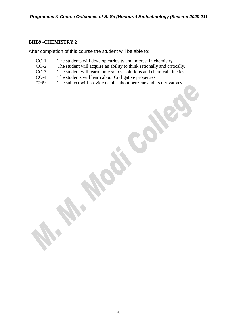#### **BHB9 -CHEMISTRY 2**

- CO-1: The students will develop curiosity and interest in chemistry.
- CO-2: The student will acquire an ability to think rationally and critically.
- CO-3: The student will learn ionic solids, solutions and chemical kinetics.
- CO-4: The students will learn about Colligative properties.
- CO-5: The subject will provide details about benzene and its derivatives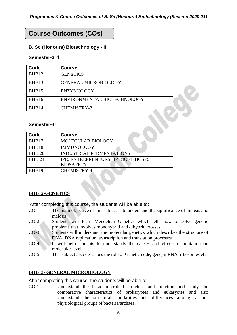## **Course Outcomes (COs)**

#### **B. Sc (Honours) Biotechnology - II**

#### **Semester-3rd**

| Code  | <b>Course</b>               |  |
|-------|-----------------------------|--|
| BHB12 | <b>GENETICS</b>             |  |
| BHB13 | <b>GENERAL MICROBIOLOGY</b> |  |
| BHB15 | <b>ENZYMOLOGY</b>           |  |
| BHB16 | ENVIRONMENTAL BIOTECHNOLOGY |  |
| BHB14 | <b>CHEMISTRY-3</b>          |  |

#### **Semester-4 th**

| Code          | <b>Course</b>                     |
|---------------|-----------------------------------|
| BHB17         | MOLECULAR BIOLOGY                 |
| BHB18         | <b>IMMUNOLOGY</b>                 |
| <b>BHB 20</b> | <b>INDUSTRIAL FERMENTATIONS</b>   |
| <b>BHB 21</b> | IPR, ENTREPRENEURSHIP BIOETIHCS & |
|               | <b>BIOSAFETY</b>                  |
| BHB19         | <b>CHEMISTRY-4</b>                |

#### **BHB12-GENETICS**

After completing this course, the students will be able to:

- CO-1: The main objective of this subject is to understand the significance of mitosis and meiosis.
- CO-2: Students will learn Mendelian Genetics which tells how to solve genetic problems that involves monohybrid and dihybrid crosses.
- CO-3: Students will understand the molecular genetics which describes the structure of DNA, DNA replication, transcription and translation processes.
- CO-4: It will help students to understands the causes and effects of mutation on molecular level.
- CO-5: This subject also describes the role of Genetic code, gene, mRNA, ribosomes etc.

#### **BHB13- GENERAL MICROBIOLOGY**

After completing this course, the students will be able to:

CO-1: Understand the basic microbial structure and function and study the comparative characteristics of prokaryotes and eukaryotes and also Understand the structural similarities and differences among various physiological groups of bacteria/archaea.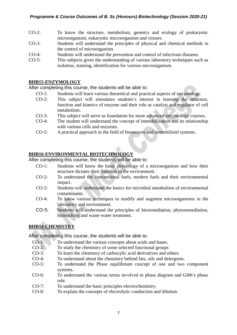- CO-2: To know the structure, metabolism, genetics and ecology of prokaryotic microorganism, eukaryotic microorganism and viruses.
- CO-3: Students will understand the principles of physical and chemical methods in the control of microorganism.
- CO-4: Students will understand the prevention and control of infectious diseases.
- CO-5: This subjects gives the understanding of various laboratory techniques such as isolation, staining, identification for various microorganism.

#### **BHB15-ENZYMOLOGY**

After completing this course, the students will be able to:

- CO-1: Students will learn various theoretical and practical aspects of enzymology.
- CO-2: This subject will stimulates students's interest in learning the structure, function and kinetics of enzyme and their role as catalyst and regulator of cell metabolism.
- CO-3: This subject will serve as foundation for more advanced enzymology courses.
- CO-4: The student will understand the concept of immobilization and its relationship with various cells and enzymes.
- CO-5: A practical approach in the field of biosensors and immobilized systems.

#### **BHB16-ENVIRONMENTAL BIOTECHNOLOGY**

After completing this course, the students will be able to:

- CO-1: Students will know the basic physiology of a microorganism and how their structure dictates their function in the environment.
- CO-2: To understand the conventional fuels, modern fuels and their environmental impact.
- CO-3: Students will understand the basics for microbial metabolism of environmental contaminants.
- CO-4: To know various techniques to modify and augment microorganisms in the laboratory and environment.
- CO-5: Students will understand the principles of bioremediation, phytoremediation, bioleaching and waste water treatment.

#### **BHB14-CHEMISTRY**

- CO-1: To understand the various concepts about acids and bases.
- CO-2: To study the chemistry of some selected functional groups
- CO-3: To learn the chemistry of carboxylic acid derivatives and ethers.
- CO-4: To understand about the chemistry behind fats, oils and detergents.
- CO-5: To understand the Phase equilibrium concept of one and two component systems.
- CO-6: To understand the various terms involved in phase diagram and Gibb's phase rule.
- CO-7: To understand the basic principles electrochemistry.
- CO-8: To explain the concepts of electrolytic conduction and dilution.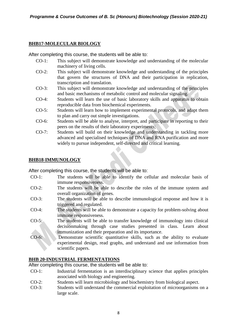#### **BHB17-MOLECULAR BIOLOGY**

After completing this course, the students will be able to:

- CO-1: This subject will demonstrate knowledge and understanding of the molecular machinery of living cells.
- CO-2: This subject will demonstrate knowledge and understanding of the principles that govern the structures of DNA and their participation in replication, transcription and translation.
- CO-3: This subject will demonstrate knowledge and understanding of the principles and basic mechanisms of metabolic control and molecular signaling.
- CO-4: Students will learn the use of basic laboratory skills and apparatus to obtain reproducible data from biochemical experiments.
- CO-5: Students will learn how to implement experimental protocols, and adapt them to plan and carry out simple investigations.
- CO-6: Students will be able to analyse, interpret, and participate in reporting to their peers on the results of their laboratory experiments;
- CO-7: Students will build on their knowledge and understanding in tackling more advanced and specialised techniques of DNA and RNA purification and more widely to pursue independent, self-directed and critical learning.

#### **BHB18-IMMUNOLOGY**

After completing this course, the students will be able to:

- CO-1: The students will be able to identify the cellular and molecular basis of immune responsiveness.
- CO-2: The students will be able to describe the roles of the immune system and overall organization of genes.
- CO-3: The students will be able to describe immunological response and how it is triggered and regulated.
- CO-4: The students will be able to demonstrate a capacity for problem-solving about immune responsiveness.
- CO-5: The students will be able to transfer knowledge of immunology into clinical decisionmaking through case studies presented in class. Learn about immunization and their preparation and its importance.
- CO-6: Demonstrate scientific quantitative skills, such as the ability to evaluate experimental design, read graphs, and understand and use information from scientific papers.

#### **BHB 20-INDUSTRIAL FERMENTATIONS**

- CO-1: Industrial fermentation is an interdisciplinary science that applies principles associated with biology and engineering.
- CO-2: Students will learn microbiology and biochemistry from biological aspect.
- CO-3: Students will understand the commercial exploitation of microorganisms on a large scale.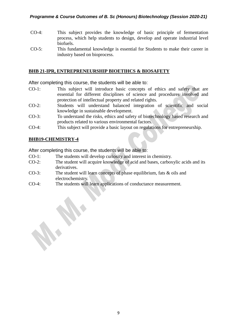#### *Programme & Course Outcomes of B. Sc (Honours) Biotechnology (Session 2020-21)*

- CO-4: This subject provides the knowledge of basic principle of fermentation process, which help students to design, develop and operate industrial level biofuels.
- CO-5: This fundamental knowledge is essential for Students to make their career in industry based on bioprocess.

#### **BHB 21-IPR, ENTREPRENEURSHIP BIOETIHCS & BIOSAFETY**

After completing this course, the students will be able to:

- CO-1: This subject will introduce basic concepts of ethics and safety that are essential for different disciplines of science and procedures involved and protection of intellectual property and related rights.
- CO-2: Students will understand balanced integration of scientific and social knowledge in sustainable development.
- CO-3: To understand the risks, ethics and safety of biotechnology based research and products related to various environmental factors.
- CO-4: This subject will provide a basic layout on regulations for entrepreneurship.

#### **BHB19-CHEMISTRY-4**

- CO-1: The students will develop curiosity and interest in chemistry.
- CO-2: The student will acquire knowledge of acid and bases, carboxylic acids and its derivatives.
- CO-3: The student will learn concepts of phase equilibrium, fats & oils and electrochemistry.
- CO-4: The students will learn applications of conductance measurement.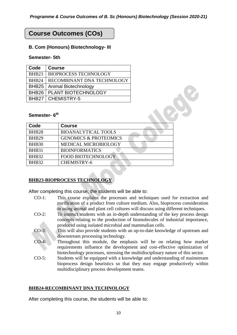## **Course Outcomes (COs)**

#### **B. Com (Honours) Biotechnology- III**

#### **Semester- 5th**

| Code              | <b>Course</b>                |
|-------------------|------------------------------|
| BHB <sub>23</sub> | <b>BIOPROCESS TECHNOLOGY</b> |
| BHB <sub>24</sub> | RECOMBINANT DNA TECHNOLOGY   |
| BHB25             | Animal Biotechnology         |
| BHB26             | <b>PLANT BIOTECHNOLOGY</b>   |
|                   | <b>BHB27   CHEMISTRY-5</b>   |

#### **Semester- 6 th**

|                          | ັ                                  |  |
|--------------------------|------------------------------------|--|
|                          | <b>BHB26   PLANT BIOTECHNOLOGY</b> |  |
| CHEMISTRY-5<br>BHB27     |                                    |  |
|                          |                                    |  |
| Semester-6 <sup>th</sup> |                                    |  |
| Code                     | <b>Course</b>                      |  |
| BHB <sub>28</sub>        | <b>BIOANALYTICAL TOOLS</b>         |  |
| BHB <sub>29</sub>        | <b>GENOMICS &amp; PROTEOMICS</b>   |  |
| <b>BHB30</b>             | MEDICAL MICROBIOLOGY               |  |
| BHB31                    | <b>BIOINFORMATICS</b>              |  |
| BHB32                    | <b>FOOD BIOTECHNOLOGY</b>          |  |
| BHB32                    | <b>CHEMISTRY-6</b>                 |  |
|                          |                                    |  |

#### **BHB23-BIOPROCESS TECHNOLOGY**

After completing this course, the students will be able to:

- CO-1: This course explains the processes and techniques used for extraction and purification of a product from culture medium. Also, bioprocess consideration in using animal and plant cell cultures will discuss using different techniques.
- CO-2: To instruct students with an in-depth understanding of the key process design concepts relating to the production of biomolecules of industrial importance, produced using isolated microbial and mammalian cells.
- CO-3: This will also provide students with an up-to-date knowledge of upstream and downstream processing technology.
- CO-4: Throughout this module, the emphasis will be on relating how market requirements influence the development and cost-effective optimization of biotechnology processes, stressing the multidisciplinary nature of this sector.
- CO-5: Students will be equipped with a knowledge and understanding of mainstream bioprocess design heuristics so that they may engage productively within multidisciplinary process development teams.

#### **BHB24-RECOMBINANT DNA TECHNOLOGY**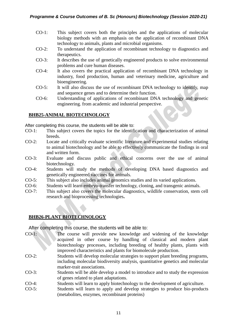- CO-1: This subject covers both the principles and the applications of molecular biology methods with an emphasis on the application of recombinant DNA technology to animals, plants and microbial organisms.
- CO-2: To understand the application of recombinant technology to diagnostics and therapeutics.
- CO-3: It describes the use of genetically engineered products to solve environmental problems and cure human diseases.
- CO-4: It also covers the practical application of recombinant DNA technology in industry, food production, human and veterinary medicine, agriculture and bioengineering.
- CO-5: It will also discuss the use of recombinant DNA technology to identify, map and sequence genes and to determine their function.
- CO-6: Understanding of applications of recombinant DNA technology and genetic engineering. from academic and industrial perspective.

#### **BHB25-ANIMAL BIOTECHNOLOGY**

After completing this course, the students will be able to:

- CO-1: This subject covers the topics for the identification and characterization of animal breeds.
- CO-2: Locate and critically evaluate scientific literature and experimental studies relating to animal biotechnology and be able to effectively communicate the findings in oral and written form.
- CO-3: Evaluate and discuss public and ethical concerns over the use of animal biotechnology.
- CO-4: Students will study the methods of developing DNA based diagnostics and genetically engineered vaccines for animals.
- CO-5: This subject also includes animal genomics studies and its varied applications.
- CO-6: Students will learn embryo-transfer technology, cloning, and transgenic animals.
- CO-7: This subject also covers the molecular diagnostics, wildlife conservation, stem cell research and bioprocessing technologies**.**

#### **BHB26-PLANT BIOTECHNOLOGY**

- CO-1: The course will provide new knowledge and widening of the knowledge acquired in other course by handling of classical and modern plant biotechnology processes, including breeding of healthy plants, plants with improved characteristics and plants for biomolecule production.
- CO-2: Students will develop molecular strategies to support plant breeding programs, including molecular biodiversity analysis, quantitative genetics and molecular marker-trait associations.
- CO-3: Students will be able develop a model to introduce and to study the expression of genes related to plant adaptations.
- CO-4: Students will learn to apply biotechnology to the development of agriculture.
- CO-5: Students will learn to apply and develop strategies to produce bio-products (metabolites, enzymes, recombinant proteins)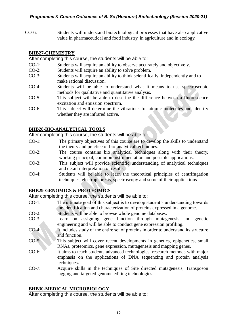CO-6: Students will understand biotechnological processes that have also applicative value in pharmaceutical and food industry, in agriculture and in ecology.

#### **BHB27-CHEMISTRY**

After completing this course, the students will be able to:

- CO-1: Students will acquire an ability to observe accurately and objectively.
- CO-2: Students will acquire an ability to solve problem.
- CO-3: Students will acquire an ability to think scientifically, independently and to make rational discussion.
- CO-4: Students will be able to understand what it means to use spectroscopic methods for qualitative and quantitative analysis.
- CO-5: This subject will be able to describe the difference between a fluorescence excitation and emission spectrum.
- CO-6: This subject will determine the vibrations for atomic molecules and identify whether they are infrared active.

#### **BHB28-BIO-ANALYTICAL TOOLS**

After completing this course, the students will be able to:

- CO-1: The primary objectives of this course are to develop the skills to understand the theory and practice of bio-analytical techniques.
- CO-2: The course contains bio analytical techniques along with their theory, working principal, common instrumentation and possible applications.
- CO-3: This subject will provide scientific understanding of analytical techniques and detail interpretation of results.
- CO-4: Students will be able to learn the theoretical principles of centrifugation techniques, electrophoresis, spectroscopy and some of their applications

#### **BHB29-GENOMICS & PROTEOMICS**

After completing this course, the students will be able to:

- CO-1: The ultimate goal of this subject is to develop student's understanding towards the identification and characterization of proteins expressed in a genome.
- CO-2: Students will be able to browse whole genome databases.
- CO-3: Learn on assigning gene function through mutagenesis and genetic engineering and will be able to conduct gene expression profiling.
- CO-4: It includes study of the entire set of proteins in order to understand its structure and function.
- CO-5: This subject will cover recent developments in genetics, epigenetics, small RNAs, proteomics, gene expression, mutagenesis and mapping genes.
- CO-6: It aims to teach students advanced technologies, research methods with major emphasis on the applications of DNA sequencing and protein analysis techniques**.**
- CO-7: Acquire skills in the techniques of Site directed mutagenesis, Transposon tagging and targeted genome editing technologies.

#### **BHB30-MEDICAL MICROBIOLOGY**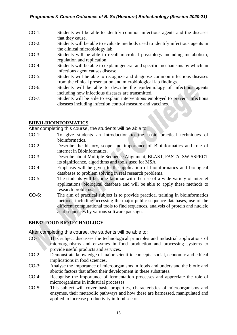- CO-1: Students will be able to identify common infectious agents and the diseases that they cause.
- CO-2: Students will be able to evaluate methods used to identify infectious agents in the clinical microbiology lab.
- CO-3: Students will be able to recall microbial physiology including metabolism, regulation and replication.
- CO-4: Students will be able to explain general and specific mechanisms by which an infectious agent causes disease.
- CO-5: Students will be able to recognize and diagnose common infectious diseases from the clinical presentation and microbiological lab findings.
- CO-6: Students will be able to describe the epidemiology of infectious agents including how infectious diseases are transmitted.
- CO-7: Students will be able to explain interventions employed to prevent infectious diseases including infection control measure and vaccines.

#### **BHB31-BIOINFORMATICS**

After completing this course, the students will be able to:

- CO-1: To give students an introduction to the basic practical techniques of bioinformatics.
- CO-2: Describe the history, scope and importance of Bioinformatics and role of internet in Bioinformatics.
- CO-3: Describe about Multiple Sequence Alignment, BLAST, FASTA, SWISSPROT its significance, algorithms and tools used for MSA
- CO-4: Emphasis will be given to the application of bioinformatics and biological databases to problem solving in real research problems.
- CO-5: The students will become familiar with the use of a wide variety of internet applications, biological database and will be able to apply these methods to research problems.
- **CO-6:** The aim of practical subject is to provide practical training in bioinformatics methods including accessing the major public sequence databases, use of the different computational tools to find sequences, analysis of protein and nucleic acid sequences by various software packages.

#### **BHB32-FOOD BIOTECHNOLOGY**

- CO-1: This subject discusses the technological principles and industrial applications of microorganisms and enzymes in food production and processing systems to provide useful products and services.
- CO-2: Demonstrate knowledge of major scientific concepts, social, economic and ethical implications in food sciences.
- CO-3: Analyse the importance of microorganisms in foods and understand the biotic and abiotic factors that affect their development in these substrates.
- CO-4: Recognise the importance of fermentation processes and appreciate the role of microorganisms in industrial processes.
- CO-5: This subject will cover basic properties, characteristics of microorganisms and enzymes, their metabolic pathways and how these are harnessed, manipulated and applied to increase productivity in food sector.